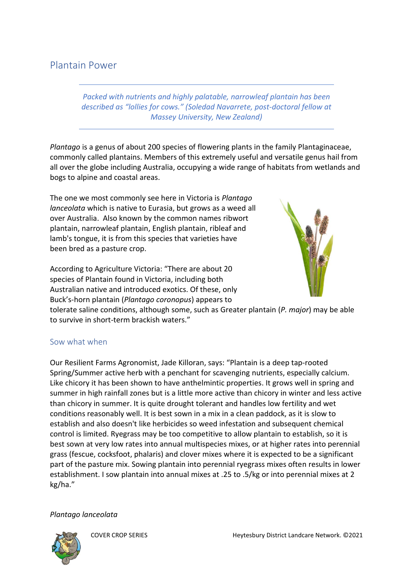# Plantain Power

*Packed with nutrients and highly palatable, narrowleaf plantain has been described as "lollies for cows." (Soledad Navarrete, post-doctoral fellow at Massey University, New Zealand)* 

*Plantago* is a [genus](https://en.wikipedia.org/wiki/Genus) of about 200 species of [flowering plants](https://en.wikipedia.org/wiki/Flowering_plant) in the family [Plantaginaceae,](https://en.wikipedia.org/wiki/Plantaginaceae) commonly called plantains. Members of this extremely useful and versatile genus hail from all over the globe including Australia, occupying a wide range of habitats from wetlands and bogs to alpine and coastal areas.

The one we most commonly see here in Victoria is *Plantago lanceolata* which is native to Eurasia, but grows as a weed all over Australia. Also known by the common names ribwort plantain, narrowleaf plantain, English plantain, ribleaf and lamb's tongue, it is from this species that varieties have been bred as a pasture crop.

According to Agriculture Victoria: "There are about 20 species of Plantain found in Victoria, including both Australian native and introduced exotics. Of these, only Buck's-horn plantain (*Plantago coronopus*) appears to



tolerate saline conditions, although some, such as Greater plantain (*P. major*) may be able to survive in short-term brackish waters."

#### Sow what when

Our Resilient Farms Agronomist, Jade Killoran, says: "Plantain is a deep tap-rooted Spring/Summer active herb with a penchant for scavenging nutrients, especially calcium. Like chicory it has been shown to have anthelmintic properties. It grows well in spring and summer in high rainfall zones but is a little more active than chicory in winter and less active than chicory in summer. It is quite drought tolerant and handles low fertility and wet conditions reasonably well. It is best sown in a mix in a clean paddock, as it is slow to establish and also doesn't like herbicides so weed infestation and subsequent chemical control is limited. Ryegrass may be too competitive to allow plantain to establish, so it is best sown at very low rates into annual multispecies mixes, or at higher rates into perennial grass (fescue, cocksfoot, phalaris) and clover mixes where it is expected to be a significant part of the pasture mix. Sowing plantain into perennial ryegrass mixes often results in lower establishment. I sow plantain into annual mixes at .25 to .5/kg or into perennial mixes at 2 kg/ha."

*Plantago lanceolata*

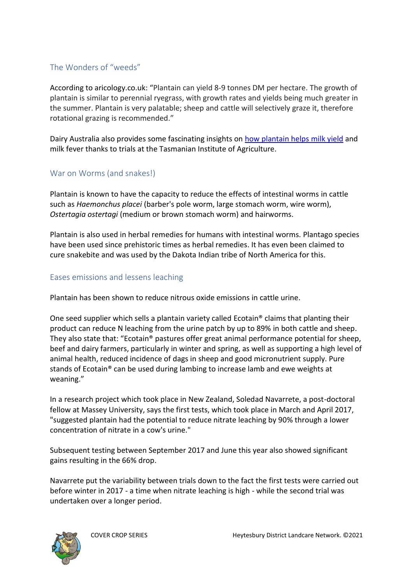### The Wonders of "weeds"

According to aricology.co.uk: "Plantain can yield 8-9 tonnes DM per hectare. The growth of plantain is similar to perennial ryegrass, with growth rates and yields being much greater in the summer. Plantain is very palatable; sheep and cattle will selectively graze it, therefore rotational grazing is recommended."

Dairy Australia also provides some fascinating insights on [how plantain helps milk yield](https://www.dairyaustralia.com.au/dairysa/feed-and-nutrition/growing-feed-for-the-herd/summer-cropping-options/plantain#.Yak8sy0RpN0) and milk fever thanks to trials at the Tasmanian Institute of Agriculture.

#### War on Worms (and snakes!)

Plantain is known to have the capacity to reduce the effects of intestinal worms in cattle such as *Haemonchus placei* (barber's pole worm, large stomach worm, wire worm), *Ostertagia ostertagi* (medium or brown stomach worm) and hairworms.

Plantain is also used in herbal remedies for humans with intestinal worms. Plantago species have been used since prehistoric times as herbal remedies. It has even been claimed to cure snakebite and was used by the Dakota Indian tribe of North America for this.

#### Eases emissions and lessens leaching

Plantain has been shown to reduce nitrous oxide emissions in cattle urine.

One seed supplier which sells a plantain variety called Ecotain® claims that planting their product can reduce N leaching from the urine patch by up to 89% in both cattle and sheep. They also state that: "Ecotain® pastures offer great animal performance potential for sheep, beef and dairy farmers, particularly in winter and spring, as well as supporting a high level of animal health, reduced incidence of dags in sheep and good micronutrient supply. Pure stands of Ecotain® can be used during lambing to increase lamb and ewe weights at weaning."

In a research project which took place in New Zealand, Soledad Navarrete, a post-doctoral fellow at Massey University, says the first tests, which took place in March and April 2017, "suggested plantain had the potential to reduce nitrate leaching by 90% through a lower concentration of nitrate in a cow's urine."

Subsequent testing between September 2017 and June this year also showed significant gains resulting in the 66% drop.

Navarrete put the variability between trials down to the fact the first tests were carried out before winter in 2017 - a time when nitrate leaching is high - while the second trial was undertaken over a longer period.

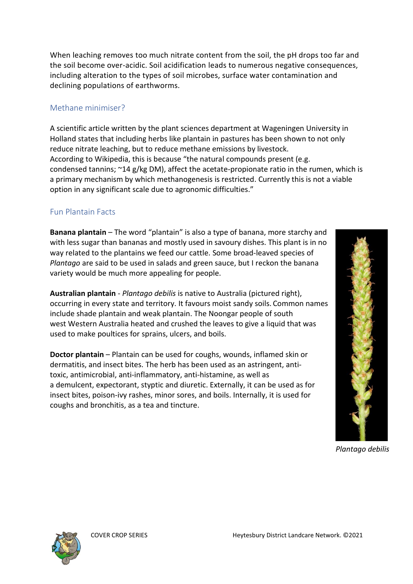When leaching removes too much nitrate content from the soil, the pH drops too far and the soil become over-acidic. Soil acidification leads to numerous negative consequences, including alteration to the types of soil microbes, surface water contamination and declining populations of earthworms.

# Methane minimiser?

A scientific article written by the plant sciences department at Wageningen University in Holland states that including herbs like plantain in pastures has been shown to not only reduce nitrate leaching, but to reduce methane emissions by livestock. According to Wikipedia, this is because "the natural compounds present (e.g. condensed [tannins;](https://en.wikipedia.org/wiki/Tannins) ~14 g/kg DM), affect the acetate-propionate ratio in the [rumen,](https://en.wikipedia.org/wiki/Rumen) which is a primary mechanism by which [methanogenesis](https://en.wikipedia.org/wiki/Methanogenesis) is restricted. Currently this is not a viable option in any significant scale due to agronomic difficulties."

## Fun Plantain Facts

**Banana plantain** – The word "plantain" is also a type of banana, more starchy and with less sugar than bananas and mostly used in savoury dishes. This plant is in no way related to the plantains we feed our cattle. Some broad-leaved species of *Plantago* are said to be used in [salads](https://en.wikipedia.org/wiki/Salad) and [green sauce,](https://en.wikipedia.org/wiki/Green_sauce) but I reckon the banana variety would be much more appealing for people.

**Australian plantain** - *Plantago debilis* is native to [Australia](https://en.wikipedia.org/wiki/Australia) (pictured right), occurring in every state and territory. It favours moist sandy soils. Common names include shade plantain and weak plantain. The [Noongar people](https://en.wikipedia.org/wiki/Noongar) of south west [Western Australia](https://en.wikipedia.org/wiki/Western_Australia) heated and crushed the leaves to give a liquid that was used to make poultices for sprains, ulcers, and boils.

**Doctor plantain** – Plantain can be used for coughs, wounds, inflamed skin or dermatitis, and insect bites. The [herb](https://en.wikipedia.org/wiki/Herb) has been used as an [astringent,](https://en.wikipedia.org/wiki/Astringent) anti[toxic,](https://en.wikipedia.org/wiki/Toxin) [antimicrobial,](https://en.wikipedia.org/wiki/Antimicrobial) [anti-inflammatory,](https://en.wikipedia.org/wiki/Anti-inflammatory) [anti-histamine,](https://en.wikipedia.org/wiki/Anti-histamine) as well as a [demulcent,](https://en.wikipedia.org/wiki/Demulcent) [expectorant,](https://en.wikipedia.org/wiki/Expectorant) [styptic](https://en.wikipedia.org/wiki/Styptic) and [diuretic.](https://en.wikipedia.org/wiki/Diuretic) Externally, it can be used as for insect bites, [poison-ivy](https://en.wikipedia.org/wiki/Poison-ivy_(plant)) rashes, minor sores, and [boils.](https://en.wikipedia.org/wiki/Boil) Internally, it is used for coughs and [bronchitis,](https://en.wikipedia.org/wiki/Bronchitis) as a [tea](https://en.wikipedia.org/wiki/Tea) and [tincture.](https://en.wikipedia.org/wiki/Tincture)



*Plantago debilis*